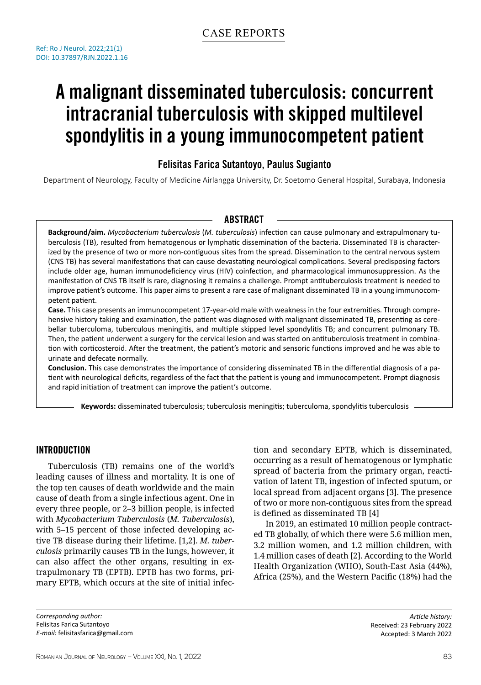# A malignant disseminated tuberculosis: concurrent intracranial tuberculosis with skipped multilevel spondylitis in a young immunocompetent patient

## Felisitas Farica Sutantoyo, Paulus Sugianto

Department of Neurology, Faculty of Medicine Airlangga University, Dr. Soetomo General Hospital, Surabaya, Indonesia

#### **ABSTRACT**

**Background/aim.** *Mycobacterium tuberculosis* (*M. tuberculosis*) infection can cause pulmonary and extrapulmonary tuberculosis (TB), resulted from hematogenous or lymphatic dissemination of the bacteria. Disseminated TB is characterized by the presence of two or more non-contiguous sites from the spread. Dissemination to the central nervous system (CNS TB) has several manifestations that can cause devastating neurological complications. Several predisposing factors include older age, human immunodeficiency virus (HIV) coinfection, and pharmacological immunosuppression. As the manifestation of CNS TB itself is rare, diagnosing it remains a challenge. Prompt antituberculosis treatment is needed to improve patient's outcome. This paper aims to present a rare case of malignant disseminated TB in a young immunocompetent patient.

**Case.** This case presents an immunocompetent 17-year-old male with weakness in the four extremities. Through comprehensive history taking and examination, the patient was diagnosed with malignant disseminated TB, presenting as cerebellar tuberculoma, tuberculous meningitis, and multiple skipped level spondylitis TB; and concurrent pulmonary TB. Then, the patient underwent a surgery for the cervical lesion and was started on antituberculosis treatment in combination with corticosteroid. After the treatment, the patient's motoric and sensoric functions improved and he was able to urinate and defecate normally.

**Conclusion.** This case demonstrates the importance of considering disseminated TB in the differential diagnosis of a patient with neurological deficits, regardless of the fact that the patient is young and immunocompetent. Prompt diagnosis and rapid initiation of treatment can improve the patient's outcome.

**Keywords:** disseminated tuberculosis; tuberculosis meningitis; tuberculoma, spondylitis tuberculosis

### Introduction

Tuberculosis (TB) remains one of the world's leading causes of illness and mortality. It is one of the top ten causes of death worldwide and the main cause of death from a single infectious agent. One in every three people, or 2–3 billion people, is infected with *Mycobacterium Tuberculosis* (*M. Tuberculosis*), with 5–15 percent of those infected developing active TB disease during their lifetime. [1,2]. *M. tuberculosis* primarily causes TB in the lungs, however, it can also affect the other organs, resulting in extrapulmonary TB (EPTB). EPTB has two forms, primary EPTB, which occurs at the site of initial infec-

*Corresponding author:* Felisitas Farica Sutantoyo *E-mail:* felisitasfarica@gmail.com tion and secondary EPTB, which is disseminated, occurring as a result of hematogenous or lymphatic spread of bacteria from the primary organ, reactivation of latent TB, ingestion of infected sputum, or local spread from adjacent organs [3]. The presence of two or more non-contiguous sites from the spread is defined as disseminated TB [4]

In 2019, an estimated 10 million people contracted TB globally, of which there were 5.6 million men, 3.2 million women, and 1.2 million children, with 1.4 million cases of death [2]. According to the World Health Organization (WHO), South-East Asia (44%), Africa (25%), and the Western Pacific (18%) had the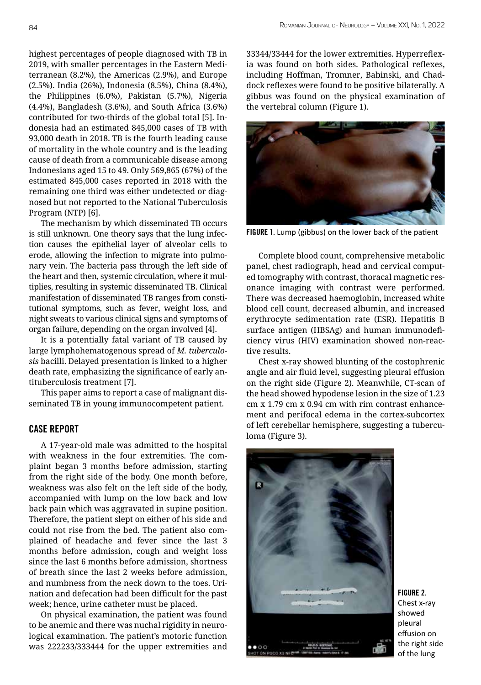highest percentages of people diagnosed with TB in 2019, with smaller percentages in the Eastern Mediterranean (8.2%), the Americas (2.9%), and Europe (2.5%). India (26%), Indonesia (8.5%), China (8.4%), the Philippines (6.0%), Pakistan (5.7%), Nigeria (4.4%), Bangladesh (3.6%), and South Africa (3.6%) contributed for two-thirds of the global total [5]. Indonesia had an estimated 845,000 cases of TB with 93,000 death in 2018. TB is the fourth leading cause of mortality in the whole country and is the leading cause of death from a communicable disease among Indonesians aged 15 to 49. Only 569,865 (67%) of the estimated 845,000 cases reported in 2018 with the remaining one third was either undetected or diagnosed but not reported to the National Tuberculosis Program (NTP) [6].

The mechanism by which disseminated TB occurs is still unknown. One theory says that the lung infection causes the epithelial layer of alveolar cells to erode, allowing the infection to migrate into pulmonary vein. The bacteria pass through the left side of the heart and then, systemic circulation, where it multiplies, resulting in systemic disseminated TB. Clinical manifestation of disseminated TB ranges from constitutional symptoms, such as fever, weight loss, and night sweats to various clinical signs and symptoms of organ failure, depending on the organ involved [4].

It is a potentially fatal variant of TB caused by large lymphohematogenous spread of *M. tuberculosis* bacilli. Delayed presentation is linked to a higher death rate, emphasizing the significance of early antituberculosis treatment [7].

This paper aims to report a case of malignant disseminated TB in young immunocompetent patient.

#### Case report

A 17-year-old male was admitted to the hospital with weakness in the four extremities. The complaint began 3 months before admission, starting from the right side of the body. One month before, weakness was also felt on the left side of the body, accompanied with lump on the low back and low back pain which was aggravated in supine position. Therefore, the patient slept on either of his side and could not rise from the bed. The patient also complained of headache and fever since the last 3 months before admission, cough and weight loss since the last 6 months before admission, shortness of breath since the last 2 weeks before admission, and numbness from the neck down to the toes. Urination and defecation had been difficult for the past week; hence, urine catheter must be placed.

On physical examination, the patient was found to be anemic and there was nuchal rigidity in neurological examination. The patient's motoric function was 222233/333444 for the upper extremities and 33344/33444 for the lower extremities. Hyperreflexia was found on both sides. Pathological reflexes, including Hoffman, Tromner, Babinski, and Chaddock reflexes were found to be positive bilaterally. A gibbus was found on the physical examination of the vertebral column (Figure 1).



FIGURE 1. Lump (gibbus) on the lower back of the patient

Complete blood count, comprehensive metabolic panel, chest radiograph, head and cervical computed tomography with contrast, thoracal magnetic resonance imaging with contrast were performed. There was decreased haemoglobin, increased white blood cell count, decreased albumin, and increased erythrocyte sedimentation rate (ESR). Hepatitis B surface antigen (HBSAg) and human immunodeficiency virus (HIV) examination showed non-reactive results.

Chest x-ray showed blunting of the costophrenic angle and air fluid level, suggesting pleural effusion on the right side (Figure 2). Meanwhile, CT-scan of the head showed hypodense lesion in the size of 1.23 cm x 1.79 cm x 0.94 cm with rim contrast enhancement and perifocal edema in the cortex-subcortex of left cerebellar hemisphere, suggesting a tuberculoma (Figure 3).



FIGURE 2. Chest x-ray showed pleural effusion on the right side of the lung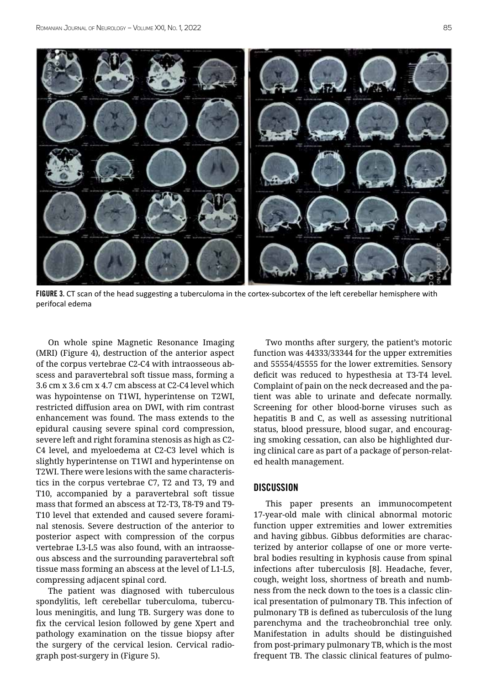

FIGURE 3. CT scan of the head suggesting a tuberculoma in the cortex-subcortex of the left cerebellar hemisphere with perifocal edema

On whole spine Magnetic Resonance Imaging (MRI) (Figure 4), destruction of the anterior aspect of the corpus vertebrae C2-C4 with intraosseous abscess and paravertebral soft tissue mass, forming a 3.6 cm x 3.6 cm x 4.7 cm abscess at C2-C4 level which was hypointense on T1WI, hyperintense on T2WI, restricted diffusion area on DWI, with rim contrast enhancement was found. The mass extends to the epidural causing severe spinal cord compression, severe left and right foramina stenosis as high as C2- C4 level, and myeloedema at C2-C3 level which is slightly hyperintense on T1WI and hyperintense on T2WI. There were lesions with the same characteristics in the corpus vertebrae C7, T2 and T3, T9 and T10, accompanied by a paravertebral soft tissue mass that formed an abscess at T2-T3, T8-T9 and T9- T10 level that extended and caused severe foraminal stenosis. Severe destruction of the anterior to posterior aspect with compression of the corpus vertebrae L3-L5 was also found, with an intraosseous abscess and the surrounding paravertebral soft tissue mass forming an abscess at the level of L1-L5, compressing adjacent spinal cord.

The patient was diagnosed with tuberculous spondylitis, left cerebellar tuberculoma, tuberculous meningitis, and lung TB. Surgery was done to fix the cervical lesion followed by gene Xpert and pathology examination on the tissue biopsy after the surgery of the cervical lesion. Cervical radiograph post-surgery in (Figure 5).

Two months after surgery, the patient's motoric function was 44333/33344 for the upper extremities and 55554/45555 for the lower extremities. Sensory deficit was reduced to hypesthesia at T3-T4 level. Complaint of pain on the neck decreased and the patient was able to urinate and defecate normally. Screening for other blood-borne viruses such as hepatitis B and C, as well as assessing nutritional status, blood pressure, blood sugar, and encouraging smoking cessation, can also be highlighted during clinical care as part of a package of person-related health management.

#### **DISCUSSION**

This paper presents an immunocompetent 17-year-old male with clinical abnormal motoric function upper extremities and lower extremities and having gibbus. Gibbus deformities are characterized by anterior collapse of one or more vertebral bodies resulting in kyphosis cause from spinal infections after tuberculosis [8]. Headache, fever, cough, weight loss, shortness of breath and numbness from the neck down to the toes is a classic clinical presentation of pulmonary TB. This infection of pulmonary TB is defined as tuberculosis of the lung parenchyma and the tracheobronchial tree only. Manifestation in adults should be distinguished from post-primary pulmonary TB, which is the most frequent TB. The classic clinical features of pulmo-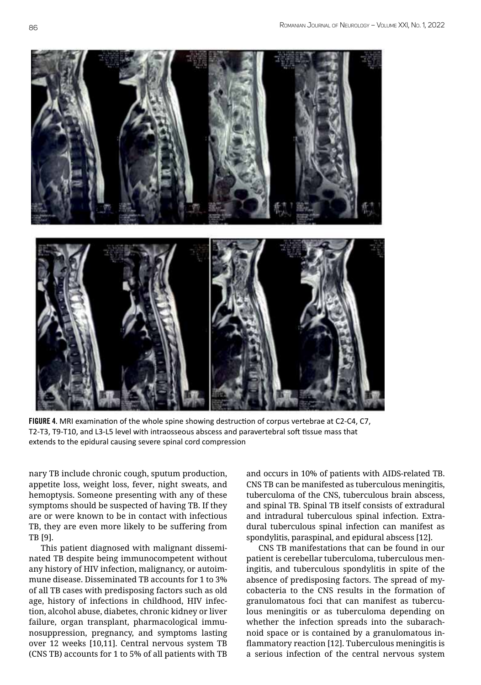

FIGURE 4. MRI examination of the whole spine showing destruction of corpus vertebrae at C2-C4, C7, T2-T3, T9-T10, and L3-L5 level with intraosseous abscess and paravertebral soft tissue mass that extends to the epidural causing severe spinal cord compression

nary TB include chronic cough, sputum production, appetite loss, weight loss, fever, night sweats, and hemoptysis. Someone presenting with any of these symptoms should be suspected of having TB. If they are or were known to be in contact with infectious TB, they are even more likely to be suffering from TB [9].

This patient diagnosed with malignant disseminated TB despite being immunocompetent without any history of HIV infection, malignancy, or autoimmune disease. Disseminated TB accounts for 1 to 3% of all TB cases with predisposing factors such as old age, history of infections in childhood, HIV infection, alcohol abuse, diabetes, chronic kidney or liver failure, organ transplant, pharmacological immunosuppression, pregnancy, and symptoms lasting over 12 weeks [10,11]. Central nervous system TB (CNS TB) accounts for 1 to 5% of all patients with TB

and occurs in 10% of patients with AIDS-related TB. CNS TB can be manifested as tuberculous meningitis, tuberculoma of the CNS, tuberculous brain abscess, and spinal TB. Spinal TB itself consists of extradural and intradural tuberculous spinal infection. Extradural tuberculous spinal infection can manifest as spondylitis, paraspinal, and epidural abscess [12].

CNS TB manifestations that can be found in our patient is cerebellar tuberculoma, tuberculous meningitis, and tuberculous spondylitis in spite of the absence of predisposing factors. The spread of mycobacteria to the CNS results in the formation of granulomatous foci that can manifest as tuberculous meningitis or as tuberculoma depending on whether the infection spreads into the subarachnoid space or is contained by a granulomatous inflammatory reaction [12]. Tuberculous meningitis is a serious infection of the central nervous system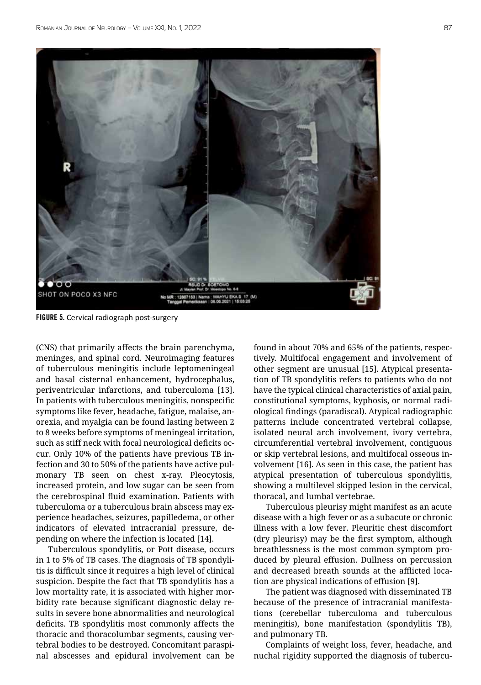

FIGURE 5. Cervical radiograph post-surgery

(CNS) that primarily affects the brain parenchyma, meninges, and spinal cord. Neuroimaging features of tuberculous meningitis include leptomeningeal and basal cisternal enhancement, hydrocephalus, periventricular infarctions, and tuberculoma [13]. In patients with tuberculous meningitis, nonspecific symptoms like fever, headache, fatigue, malaise, anorexia, and myalgia can be found lasting between 2 to 8 weeks before symptoms of meningeal irritation, such as stiff neck with focal neurological deficits occur. Only 10% of the patients have previous TB infection and 30 to 50% of the patients have active pulmonary TB seen on chest x-ray. Pleocytosis, increased protein, and low sugar can be seen from the cerebrospinal fluid examination. Patients with tuberculoma or a tuberculous brain abscess may experience headaches, seizures, papilledema, or other indicators of elevated intracranial pressure, depending on where the infection is located [14].

Tuberculous spondylitis, or Pott disease, occurs in 1 to 5% of TB cases. The diagnosis of TB spondylitis is difficult since it requires a high level of clinical suspicion. Despite the fact that TB spondylitis has a low mortality rate, it is associated with higher morbidity rate because significant diagnostic delay results in severe bone abnormalities and neurological deficits. TB spondylitis most commonly affects the thoracic and thoracolumbar segments, causing vertebral bodies to be destroyed. Concomitant paraspinal abscesses and epidural involvement can be found in about 70% and 65% of the patients, respectively. Multifocal engagement and involvement of other segment are unusual [15]. Atypical presentation of TB spondylitis refers to patients who do not have the typical clinical characteristics of axial pain, constitutional symptoms, kyphosis, or normal radiological findings (paradiscal). Atypical radiographic patterns include concentrated vertebral collapse, isolated neural arch involvement, ivory vertebra, circumferential vertebral involvement, contiguous or skip vertebral lesions, and multifocal osseous involvement [16]. As seen in this case, the patient has atypical presentation of tuberculous spondylitis, showing a multilevel skipped lesion in the cervical, thoracal, and lumbal vertebrae.

Tuberculous pleurisy might manifest as an acute disease with a high fever or as a subacute or chronic illness with a low fever. Pleuritic chest discomfort (dry pleurisy) may be the first symptom, although breathlessness is the most common symptom produced by pleural effusion. Dullness on percussion and decreased breath sounds at the afflicted location are physical indications of effusion [9].

The patient was diagnosed with disseminated TB because of the presence of intracranial manifestations (cerebellar tuberculoma and tuberculous meningitis), bone manifestation (spondylitis TB), and pulmonary TB.

Complaints of weight loss, fever, headache, and nuchal rigidity supported the diagnosis of tubercu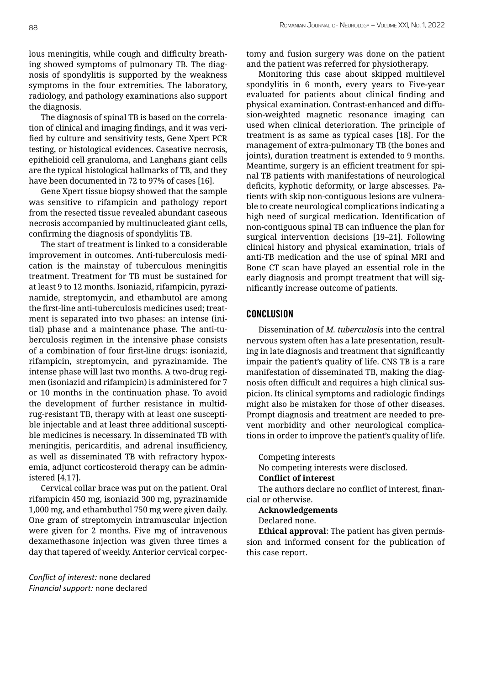lous meningitis, while cough and difficulty breathing showed symptoms of pulmonary TB. The diagnosis of spondylitis is supported by the weakness symptoms in the four extremities. The laboratory, radiology, and pathology examinations also support the diagnosis.

The diagnosis of spinal TB is based on the correlation of clinical and imaging findings, and it was verified by culture and sensitivity tests, Gene Xpert PCR testing, or histological evidences. Caseative necrosis, epithelioid cell granuloma, and Langhans giant cells are the typical histological hallmarks of TB, and they have been documented in 72 to 97% of cases [16].

Gene Xpert tissue biopsy showed that the sample was sensitive to rifampicin and pathology report from the resected tissue revealed abundant caseous necrosis accompanied by multinucleated giant cells, confirming the diagnosis of spondylitis TB.

The start of treatment is linked to a considerable improvement in outcomes. Anti-tuberculosis medication is the mainstay of tuberculous meningitis treatment. Treatment for TB must be sustained for at least 9 to 12 months. Isoniazid, rifampicin, pyrazinamide, streptomycin, and ethambutol are among the first-line anti-tuberculosis medicines used; treatment is separated into two phases: an intense (initial) phase and a maintenance phase. The anti-tuberculosis regimen in the intensive phase consists of a combination of four first-line drugs: isoniazid, rifampicin, streptomycin, and pyrazinamide. The intense phase will last two months. A two-drug regimen (isoniazid and rifampicin) is administered for 7 or 10 months in the continuation phase. To avoid the development of further resistance in multidrug-resistant TB, therapy with at least one susceptible injectable and at least three additional susceptible medicines is necessary. In disseminated TB with meningitis, pericarditis, and adrenal insufficiency, as well as disseminated TB with refractory hypoxemia, adjunct corticosteroid therapy can be administered [4,17].

Cervical collar brace was put on the patient. Oral rifampicin 450 mg, isoniazid 300 mg, pyrazinamide 1,000 mg, and ethambuthol 750 mg were given daily. One gram of streptomycin intramuscular injection were given for 2 months. Five mg of intravenous dexamethasone injection was given three times a day that tapered of weekly. Anterior cervical corpec-

*Conflict of interest:* none declared *Financial support:* none declared

tomy and fusion surgery was done on the patient and the patient was referred for physiotherapy.

Monitoring this case about skipped multilevel spondylitis in 6 month, every years to Five-year evaluated for patients about clinical finding and physical examination. Contrast-enhanced and diffusion-weighted magnetic resonance imaging can used when clinical deterioration. The principle of treatment is as same as typical cases [18]. For the management of extra-pulmonary TB (the bones and joints), duration treatment is extended to 9 months. Meantime, surgery is an efficient treatment for spinal TB patients with manifestations of neurological deficits, kyphotic deformity, or large abscesses. Patients with skip non-contiguous lesions are vulnerable to create neurological complications indicating a high need of surgical medication. Identification of non-contiguous spinal TB can influence the plan for surgical intervention decisions [19–21]. Following clinical history and physical examination, trials of anti-TB medication and the use of spinal MRI and Bone CT scan have played an essential role in the early diagnosis and prompt treatment that will significantly increase outcome of patients.

#### Conclusion

Dissemination of *M. tuberculosis* into the central nervous system often has a late presentation, resulting in late diagnosis and treatment that significantly impair the patient's quality of life. CNS TB is a rare manifestation of disseminated TB, making the diagnosis often difficult and requires a high clinical suspicion. Its clinical symptoms and radiologic findings might also be mistaken for those of other diseases. Prompt diagnosis and treatment are needed to prevent morbidity and other neurological complications in order to improve the patient's quality of life.

Competing interests

No competing interests were disclosed. **Conflict of interest** 

The authors declare no conflict of interest, financial or otherwise.

**Acknowledgements** 

Declared none.

**Ethical approval**: The patient has given permission and informed consent for the publication of this case report.